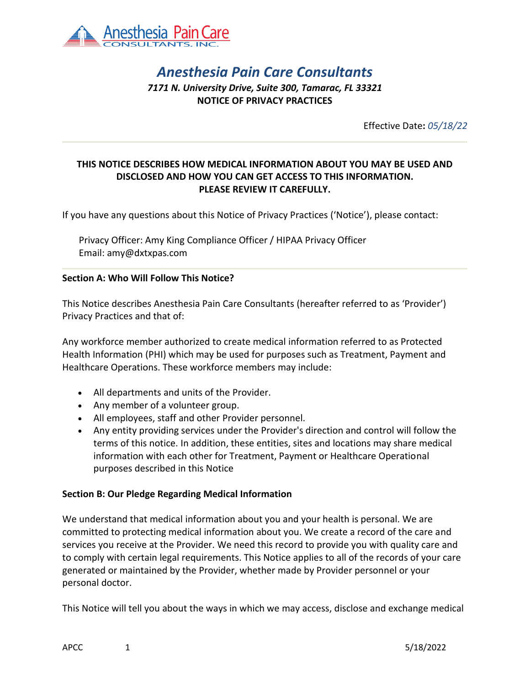

# *Anesthesia Pain Care Consultants*

# *7171 N. University Drive, Suite 300, Tamarac, FL 33321* **NOTICE OF PRIVACY PRACTICES**

Effective Date**:** *05/18/22*

# **THIS NOTICE DESCRIBES HOW MEDICAL INFORMATION ABOUT YOU MAY BE USED AND DISCLOSED AND HOW YOU CAN GET ACCESS TO THIS INFORMATION. PLEASE REVIEW IT CAREFULLY.**

If you have any questions about this Notice of Privacy Practices ('Notice'), please contact:

Privacy Officer: Amy King Compliance Officer / HIPAA Privacy Officer Email: amy@dxtxpas.com

#### **Section A: Who Will Follow This Notice?**

This Notice describes Anesthesia Pain Care Consultants (hereafter referred to as 'Provider') Privacy Practices and that of:

Any workforce member authorized to create medical information referred to as Protected Health Information (PHI) which may be used for purposes such as Treatment, Payment and Healthcare Operations. These workforce members may include:

- All departments and units of the Provider.
- Any member of a volunteer group.
- All employees, staff and other Provider personnel.
- Any entity providing services under the Provider's direction and control will follow the terms of this notice. In addition, these entities, sites and locations may share medical information with each other for Treatment, Payment or Healthcare Operational purposes described in this Notice

#### **Section B: Our Pledge Regarding Medical Information**

We understand that medical information about you and your health is personal. We are committed to protecting medical information about you. We create a record of the care and services you receive at the Provider. We need this record to provide you with quality care and to comply with certain legal requirements. This Notice applies to all of the records of your care generated or maintained by the Provider, whether made by Provider personnel or your personal doctor.

This Notice will tell you about the ways in which we may access, disclose and exchange medical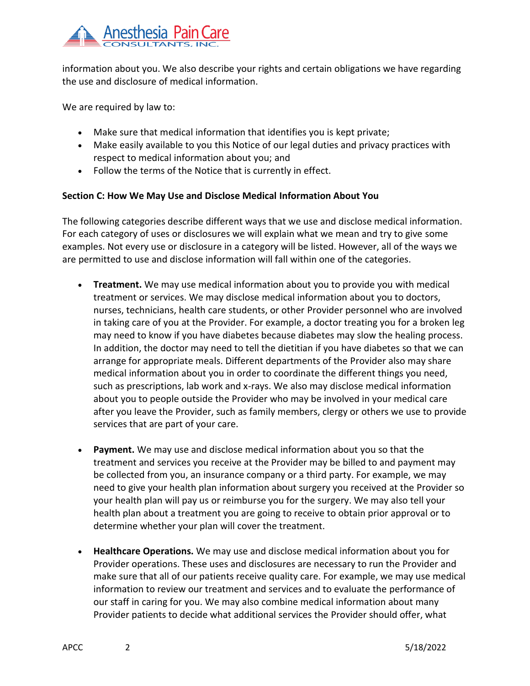

information about you. We also describe your rights and certain obligations we have regarding the use and disclosure of medical information.

We are required by law to:

- Make sure that medical information that identifies you is kept private;
- Make easily available to you this Notice of our legal duties and privacy practices with respect to medical information about you; and
- Follow the terms of the Notice that is currently in effect.

#### **Section C: How We May Use and Disclose Medical Information About You**

The following categories describe different ways that we use and disclose medical information. For each category of uses or disclosures we will explain what we mean and try to give some examples. Not every use or disclosure in a category will be listed. However, all of the ways we are permitted to use and disclose information will fall within one of the categories.

- **Treatment.** We may use medical information about you to provide you with medical treatment or services. We may disclose medical information about you to doctors, nurses, technicians, health care students, or other Provider personnel who are involved in taking care of you at the Provider. For example, a doctor treating you for a broken leg may need to know if you have diabetes because diabetes may slow the healing process. In addition, the doctor may need to tell the dietitian if you have diabetes so that we can arrange for appropriate meals. Different departments of the Provider also may share medical information about you in order to coordinate the different things you need, such as prescriptions, lab work and x-rays. We also may disclose medical information about you to people outside the Provider who may be involved in your medical care after you leave the Provider, such as family members, clergy or others we use to provide services that are part of your care.
- **Payment.** We may use and disclose medical information about you so that the treatment and services you receive at the Provider may be billed to and payment may be collected from you, an insurance company or a third party. For example, we may need to give your health plan information about surgery you received at the Provider so your health plan will pay us or reimburse you for the surgery. We may also tell your health plan about a treatment you are going to receive to obtain prior approval or to determine whether your plan will cover the treatment.
- **Healthcare Operations.** We may use and disclose medical information about you for Provider operations. These uses and disclosures are necessary to run the Provider and make sure that all of our patients receive quality care. For example, we may use medical information to review our treatment and services and to evaluate the performance of our staff in caring for you. We may also combine medical information about many Provider patients to decide what additional services the Provider should offer, what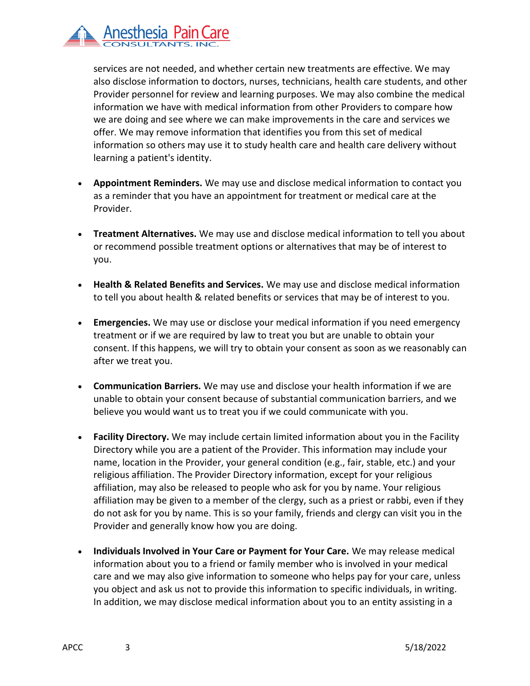

services are not needed, and whether certain new treatments are effective. We may also disclose information to doctors, nurses, technicians, health care students, and other Provider personnel for review and learning purposes. We may also combine the medical information we have with medical information from other Providers to compare how we are doing and see where we can make improvements in the care and services we offer. We may remove information that identifies you from this set of medical information so others may use it to study health care and health care delivery without learning a patient's identity.

- **Appointment Reminders.** We may use and disclose medical information to contact you as a reminder that you have an appointment for treatment or medical care at the Provider.
- **Treatment Alternatives.** We may use and disclose medical information to tell you about or recommend possible treatment options or alternatives that may be of interest to you.
- **Health & Related Benefits and Services.** We may use and disclose medical information to tell you about health & related benefits or services that may be of interest to you.
- **Emergencies.** We may use or disclose your medical information if you need emergency treatment or if we are required by law to treat you but are unable to obtain your consent. If this happens, we will try to obtain your consent as soon as we reasonably can after we treat you.
- **Communication Barriers.** We may use and disclose your health information if we are unable to obtain your consent because of substantial communication barriers, and we believe you would want us to treat you if we could communicate with you.
- **Facility Directory.** We may include certain limited information about you in the Facility Directory while you are a patient of the Provider. This information may include your name, location in the Provider, your general condition (e.g., fair, stable, etc.) and your religious affiliation. The Provider Directory information, except for your religious affiliation, may also be released to people who ask for you by name. Your religious affiliation may be given to a member of the clergy, such as a priest or rabbi, even if they do not ask for you by name. This is so your family, friends and clergy can visit you in the Provider and generally know how you are doing.
- **Individuals Involved in Your Care or Payment for Your Care.** We may release medical information about you to a friend or family member who is involved in your medical care and we may also give information to someone who helps pay for your care, unless you object and ask us not to provide this information to specific individuals, in writing. In addition, we may disclose medical information about you to an entity assisting in a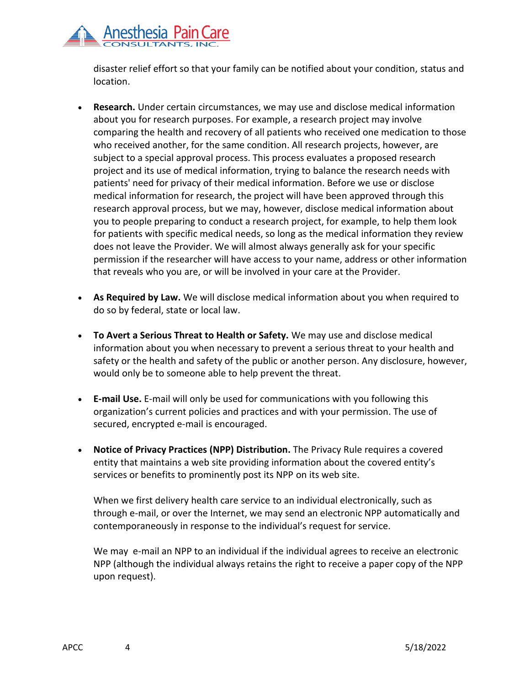

disaster relief effort so that your family can be notified about your condition, status and location.

- **Research.** Under certain circumstances, we may use and disclose medical information about you for research purposes. For example, a research project may involve comparing the health and recovery of all patients who received one medication to those who received another, for the same condition. All research projects, however, are subject to a special approval process. This process evaluates a proposed research project and its use of medical information, trying to balance the research needs with patients' need for privacy of their medical information. Before we use or disclose medical information for research, the project will have been approved through this research approval process, but we may, however, disclose medical information about you to people preparing to conduct a research project, for example, to help them look for patients with specific medical needs, so long as the medical information they review does not leave the Provider. We will almost always generally ask for your specific permission if the researcher will have access to your name, address or other information that reveals who you are, or will be involved in your care at the Provider.
- **As Required by Law.** We will disclose medical information about you when required to do so by federal, state or local law.
- **To Avert a Serious Threat to Health or Safety.** We may use and disclose medical information about you when necessary to prevent a serious threat to your health and safety or the health and safety of the public or another person. Any disclosure, however, would only be to someone able to help prevent the threat.
- **E-mail Use.** E-mail will only be used for communications with you following this organization's current policies and practices and with your permission. The use of secured, encrypted e-mail is encouraged.
- **Notice of Privacy Practices (NPP) Distribution.** The Privacy Rule requires a covered entity that maintains a web site providing information about the covered entity's services or benefits to prominently post its NPP on its web site.

When we first delivery health care service to an individual electronically, such as through e-mail, or over the Internet, we may send an electronic NPP automatically and contemporaneously in response to the individual's request for service.

We may e-mail an NPP to an individual if the individual agrees to receive an electronic NPP (although the individual always retains the right to receive a paper copy of the NPP upon request).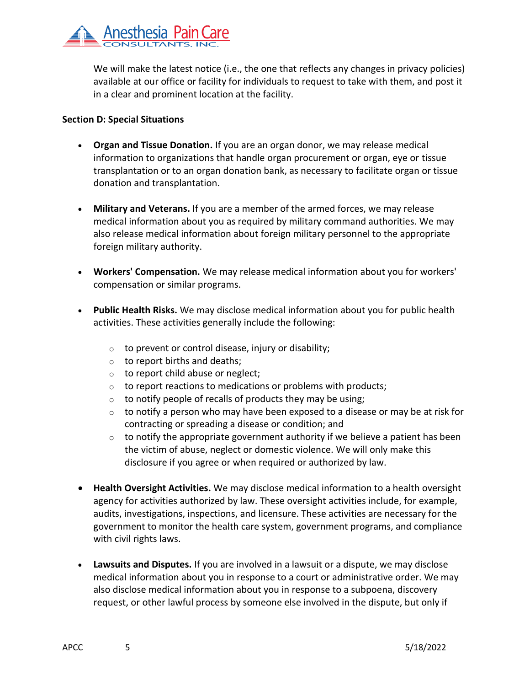

We will make the latest notice (i.e., the one that reflects any changes in privacy policies) available at our office or facility for individuals to request to take with them, and post it in a clear and prominent location at the facility.

#### **Section D: Special Situations**

- **Organ and Tissue Donation.** If you are an organ donor, we may release medical information to organizations that handle organ procurement or organ, eye or tissue transplantation or to an organ donation bank, as necessary to facilitate organ or tissue donation and transplantation.
- **Military and Veterans.** If you are a member of the armed forces, we may release medical information about you as required by military command authorities. We may also release medical information about foreign military personnel to the appropriate foreign military authority.
- **Workers' Compensation.** We may release medical information about you for workers' compensation or similar programs.
- **Public Health Risks.** We may disclose medical information about you for public health activities. These activities generally include the following:
	- $\circ$  to prevent or control disease, injury or disability;
	- $\circ$  to report births and deaths;
	- o to report child abuse or neglect;
	- $\circ$  to report reactions to medications or problems with products;
	- $\circ$  to notify people of recalls of products they may be using;
	- $\circ$  to notify a person who may have been exposed to a disease or may be at risk for contracting or spreading a disease or condition; and
	- $\circ$  to notify the appropriate government authority if we believe a patient has been the victim of abuse, neglect or domestic violence. We will only make this disclosure if you agree or when required or authorized by law.
- **Health Oversight Activities.** We may disclose medical information to a health oversight agency for activities authorized by law. These oversight activities include, for example, audits, investigations, inspections, and licensure. These activities are necessary for the government to monitor the health care system, government programs, and compliance with civil rights laws.
- **Lawsuits and Disputes.** If you are involved in a lawsuit or a dispute, we may disclose medical information about you in response to a court or administrative order. We may also disclose medical information about you in response to a subpoena, discovery request, or other lawful process by someone else involved in the dispute, but only if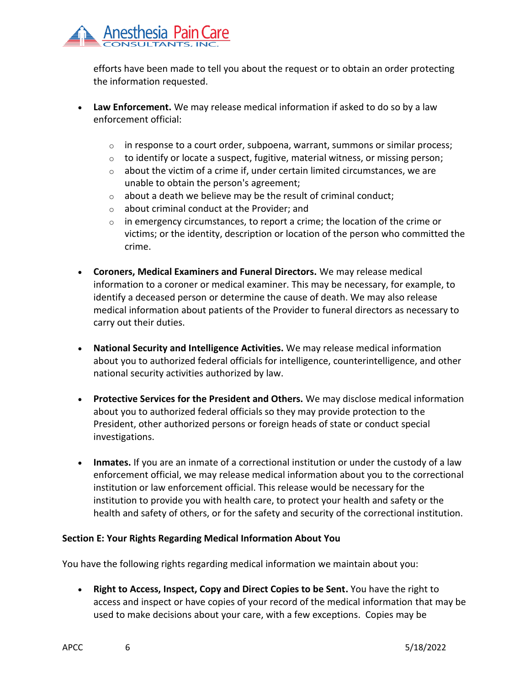

efforts have been made to tell you about the request or to obtain an order protecting the information requested.

- **Law Enforcement.** We may release medical information if asked to do so by a law enforcement official:
	- $\circ$  in response to a court order, subpoena, warrant, summons or similar process;
	- $\circ$  to identify or locate a suspect, fugitive, material witness, or missing person;
	- $\circ$  about the victim of a crime if, under certain limited circumstances, we are unable to obtain the person's agreement;
	- $\circ$  about a death we believe may be the result of criminal conduct;
	- o about criminal conduct at the Provider; and
	- $\circ$  in emergency circumstances, to report a crime; the location of the crime or victims; or the identity, description or location of the person who committed the crime.
- **Coroners, Medical Examiners and Funeral Directors.** We may release medical information to a coroner or medical examiner. This may be necessary, for example, to identify a deceased person or determine the cause of death. We may also release medical information about patients of the Provider to funeral directors as necessary to carry out their duties.
- **National Security and Intelligence Activities.** We may release medical information about you to authorized federal officials for intelligence, counterintelligence, and other national security activities authorized by law.
- **Protective Services for the President and Others.** We may disclose medical information about you to authorized federal officials so they may provide protection to the President, other authorized persons or foreign heads of state or conduct special investigations.
- **Inmates.** If you are an inmate of a correctional institution or under the custody of a law enforcement official, we may release medical information about you to the correctional institution or law enforcement official. This release would be necessary for the institution to provide you with health care, to protect your health and safety or the health and safety of others, or for the safety and security of the correctional institution.

# **Section E: Your Rights Regarding Medical Information About You**

You have the following rights regarding medical information we maintain about you:

• **Right to Access, Inspect, Copy and Direct Copies to be Sent.** You have the right to access and inspect or have copies of your record of the medical information that may be used to make decisions about your care, with a few exceptions. Copies may be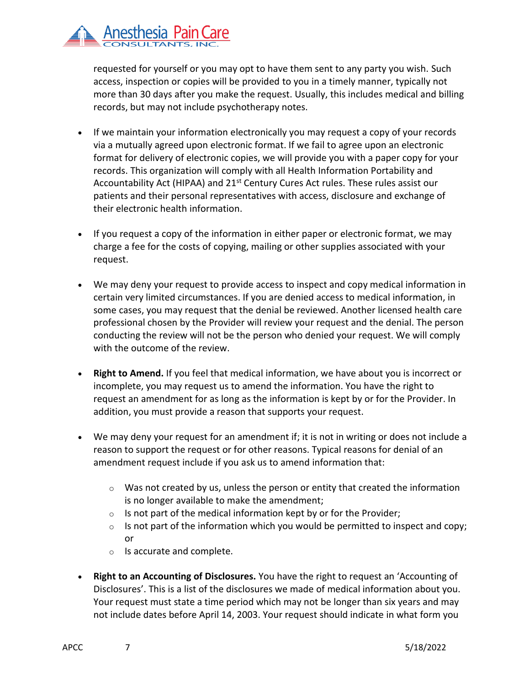

requested for yourself or you may opt to have them sent to any party you wish. Such access, inspection or copies will be provided to you in a timely manner, typically not more than 30 days after you make the request. Usually, this includes medical and billing records, but may not include psychotherapy notes.

- If we maintain your information electronically you may request a copy of your records via a mutually agreed upon electronic format. If we fail to agree upon an electronic format for delivery of electronic copies, we will provide you with a paper copy for your records. This organization will comply with all Health Information Portability and Accountability Act (HIPAA) and 21<sup>st</sup> Century Cures Act rules. These rules assist our patients and their personal representatives with access, disclosure and exchange of their electronic health information.
- If you request a copy of the information in either paper or electronic format, we may charge a fee for the costs of copying, mailing or other supplies associated with your request.
- We may deny your request to provide access to inspect and copy medical information in certain very limited circumstances. If you are denied access to medical information, in some cases, you may request that the denial be reviewed. Another licensed health care professional chosen by the Provider will review your request and the denial. The person conducting the review will not be the person who denied your request. We will comply with the outcome of the review.
- **Right to Amend.** If you feel that medical information, we have about you is incorrect or incomplete, you may request us to amend the information. You have the right to request an amendment for as long as the information is kept by or for the Provider. In addition, you must provide a reason that supports your request.
- We may deny your request for an amendment if; it is not in writing or does not include a reason to support the request or for other reasons. Typical reasons for denial of an amendment request include if you ask us to amend information that:
	- $\circ$  Was not created by us, unless the person or entity that created the information is no longer available to make the amendment;
	- $\circ$  Is not part of the medical information kept by or for the Provider;
	- $\circ$  Is not part of the information which you would be permitted to inspect and copy; or
	- o Is accurate and complete.
- **Right to an Accounting of Disclosures.** You have the right to request an 'Accounting of Disclosures'. This is a list of the disclosures we made of medical information about you. Your request must state a time period which may not be longer than six years and may not include dates before April 14, 2003. Your request should indicate in what form you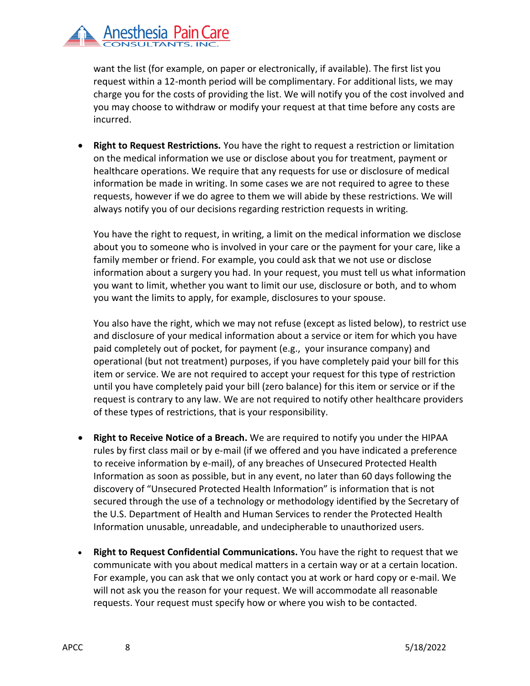

want the list (for example, on paper or electronically, if available). The first list you request within a 12-month period will be complimentary. For additional lists, we may charge you for the costs of providing the list. We will notify you of the cost involved and you may choose to withdraw or modify your request at that time before any costs are incurred.

• **Right to Request Restrictions.** You have the right to request a restriction or limitation on the medical information we use or disclose about you for treatment, payment or healthcare operations. We require that any requests for use or disclosure of medical information be made in writing. In some cases we are not required to agree to these requests, however if we do agree to them we will abide by these restrictions. We will always notify you of our decisions regarding restriction requests in writing.

You have the right to request, in writing, a limit on the medical information we disclose about you to someone who is involved in your care or the payment for your care, like a family member or friend. For example, you could ask that we not use or disclose information about a surgery you had. In your request, you must tell us what information you want to limit, whether you want to limit our use, disclosure or both, and to whom you want the limits to apply, for example, disclosures to your spouse.

You also have the right, which we may not refuse (except as listed below), to restrict use and disclosure of your medical information about a service or item for which you have paid completely out of pocket, for payment (e.g., your insurance company) and operational (but not treatment) purposes, if you have completely paid your bill for this item or service. We are not required to accept your request for this type of restriction until you have completely paid your bill (zero balance) for this item or service or if the request is contrary to any law. We are not required to notify other healthcare providers of these types of restrictions, that is your responsibility.

- **Right to Receive Notice of a Breach.** We are required to notify you under the HIPAA rules by first class mail or by e-mail (if we offered and you have indicated a preference to receive information by e-mail), of any breaches of Unsecured Protected Health Information as soon as possible, but in any event, no later than 60 days following the discovery of "Unsecured Protected Health Information" is information that is not secured through the use of a technology or methodology identified by the Secretary of the U.S. Department of Health and Human Services to render the Protected Health Information unusable, unreadable, and undecipherable to unauthorized users.
- **Right to Request Confidential Communications.** You have the right to request that we communicate with you about medical matters in a certain way or at a certain location. For example, you can ask that we only contact you at work or hard copy or e-mail. We will not ask you the reason for your request. We will accommodate all reasonable requests. Your request must specify how or where you wish to be contacted.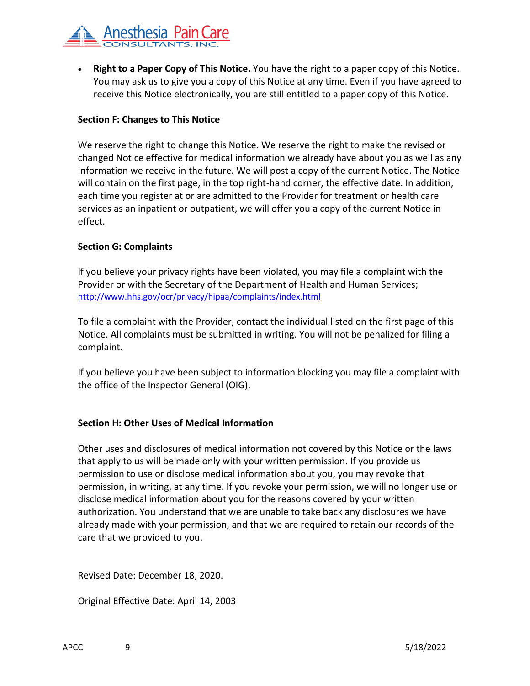

• **Right to a Paper Copy of This Notice.** You have the right to a paper copy of this Notice. You may ask us to give you a copy of this Notice at any time. Even if you have agreed to receive this Notice electronically, you are still entitled to a paper copy of this Notice.

#### **Section F: Changes to This Notice**

We reserve the right to change this Notice. We reserve the right to make the revised or changed Notice effective for medical information we already have about you as well as any information we receive in the future. We will post a copy of the current Notice. The Notice will contain on the first page, in the top right-hand corner, the effective date. In addition, each time you register at or are admitted to the Provider for treatment or health care services as an inpatient or outpatient, we will offer you a copy of the current Notice in effect.

#### **Section G: Complaints**

If you believe your privacy rights have been violated, you may file a complaint with the Provider or with the Secretary of the Department of Health and Human Services; <http://www.hhs.gov/ocr/privacy/hipaa/complaints/index.html>

To file a complaint with the Provider, contact the individual listed on the first page of this Notice. All complaints must be submitted in writing. You will not be penalized for filing a complaint.

If you believe you have been subject to information blocking you may file a complaint with the office of the Inspector General (OIG).

#### **Section H: Other Uses of Medical Information**

Other uses and disclosures of medical information not covered by this Notice or the laws that apply to us will be made only with your written permission. If you provide us permission to use or disclose medical information about you, you may revoke that permission, in writing, at any time. If you revoke your permission, we will no longer use or disclose medical information about you for the reasons covered by your written authorization. You understand that we are unable to take back any disclosures we have already made with your permission, and that we are required to retain our records of the care that we provided to you.

Revised Date: December 18, 2020.

Original Effective Date: April 14, 2003